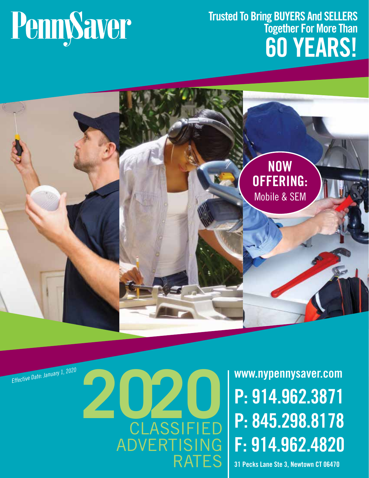# PennySaver

### **Trusted To Bring BUYERS And SELLERS Together For More Than 60 YEARS!**



# Effective Date: January 1, 2020<br> **2020 P: 914.962.3871**<br>
2020 **P: 845.298.8178 LASSIFIED** ADVERTISING RATES

**P: 914.962.3871 P: 845.298.8178 F: 914.962.4820**

**31 Pecks Lane Ste 3, Newtown CT 06470**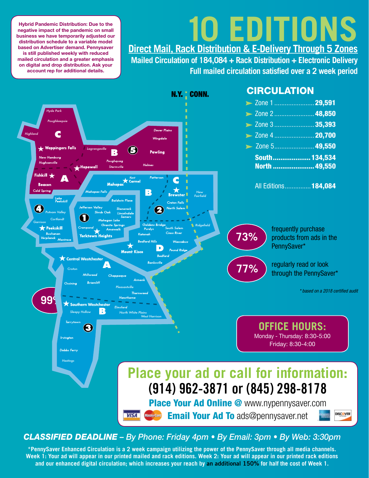# **10 EDITIONS Direct Mail, Rack Distribution & E-Delivery Through 5 Zones**

**Hybrid Pandemic Distribution: Due to the negative impact of the pandemic on small business we have temporarily adjusted our distribution schedule to a variable model based on Advertiser demand. Pennysaver is still published weekly with reduced mailed circulation and a greater emphasis on digital and drop distribution. Ask your account rep for additional details.**

**Mailed Circulation of 184,084 + Rack Distribution + Electronic Delivery Full mailed circulation satisfied over a 2 week period**



#### *CLASSIFIED DEADLINE – By Phone: Friday 4pm • By Email: 3pm • By Web: 3:30pm*

**\*PennySaver Enhanced Circulation is a 2 week campaign utilizing the power of the PennySaver through all media channels. Week 1: Your ad will appear in our printed mailed and rack editions. Week 2: Your ad will appear in our printed rack editions and our enhanced digital circulation; which increases your reach by an additional 150% for half the cost of Week 1.**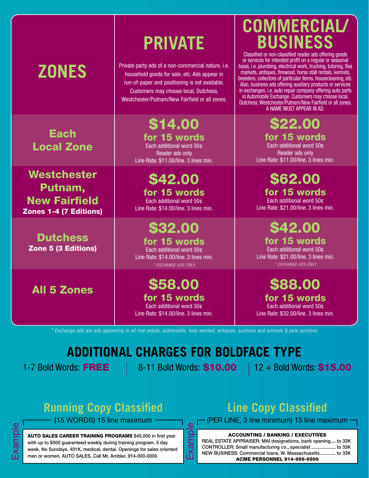# **ZONES**

**Each** Local Zone

Westchester Putnam, New Fairfield Zones 1-4 (7 Editions)

**Dutchess** Zone 5 (3 Editions)

All 5 Zones

# **PRIVATE**

Private party ads of a non-commercial nature, i.e. household goods for sale, etc. Ads appear in run-of-paper and positioning is not available. Customers may choose local, Dutchess, Westchester/Putnam/New Fairfield or all zones.

> \$14.00 for 15 words Each additional word 50¢ Reader ads only Line Rate: \$11.00/line. 3 lines min.

\$42.00 for 15 words Each additional word 50¢ Line Rate: \$14.00/line. 3 lines min.

## \$32.00

for 15 words Each additional word 50¢ Line Rate: \$14.00/line. 3 lines min. *\* EXCHANGE ADS ONLY*

\$58.00 for 15 words Each additional word 50¢ Line Rate: \$14.00/line. 3 lines min.

### **COMMERCIAL/ BUSINESS**

Classified or non-classified reader ads offering goods or services for intended profit on a regular or seasonal basis, i.e. plumbing, electrical work, trucking, tutoring, flea markets, antiques, firewood, horse stall rentals, kennels, breeders, collectors of particular items, housecleaning, etc. Also, business ads offering auxiliary products or services in exchanges, i.e. auto repair company offering auto parts in Automobile Exchange. Customers may choose local, Dutchess, Westchester/Putnam/New Fairfield or all zones. A NAME MUST APPEAR IN AD.

> \$22.00 for 15 words Each additional word 50¢ Reader ads only Line Rate: \$11.00/line. 3 lines min.

\$62.00 for 15 words Each additional word 50¢ Line Rate: \$21.00/line. 3 lines min.

\$42.00 for 15 words Each additional word 50¢ Line Rate: \$21.00/line. 3 lines min. *\* EXCHANGE ADS ONLY*

\$88.00 for 15 words

Each additional word 50¢ Line Rate: \$32.00/line. 3 lines min.

*\* Exchange ads are ads appearing in all real estate, automobile, help wanted, antiques, auctions and animals & pets sections.*

### **ADDITIONAL CHARGES FOR BOLDFACE TYPE**

1-7 Bold Words:  $FREE$  | 8-11 Bold Words: \$10.00 | 12 + Bold Words: \$15.00

Example

### **Running Copy Classified**

(15 WORDS) 15 line maximum

AUTO SALES CAREER TRAINING PROGRAMS \$45,000 in first year with up to \$500 guaranteed weekly during training program. 5 day week. No Sundays. 401K, medical, dental. Openings for sales oriented men or women. AUTO SALES. Call Mr. Ambler, 914-000-0000

### **Line Copy Classified**

(PER LINE, 3 line minimum) 15 line maximum

#### ACCOUNTING / BANKING / EXECUTIVES

REAL ESTATE APPRAISER: MAI designations, bank opening.... to 33K CONTROLLER: Small manufacturing co., specialist ................... to 33K NEW BUSINESS: Commercial loans, W. Massachusetts ............ to 33K ACME PERSONNEL 914-999-9999